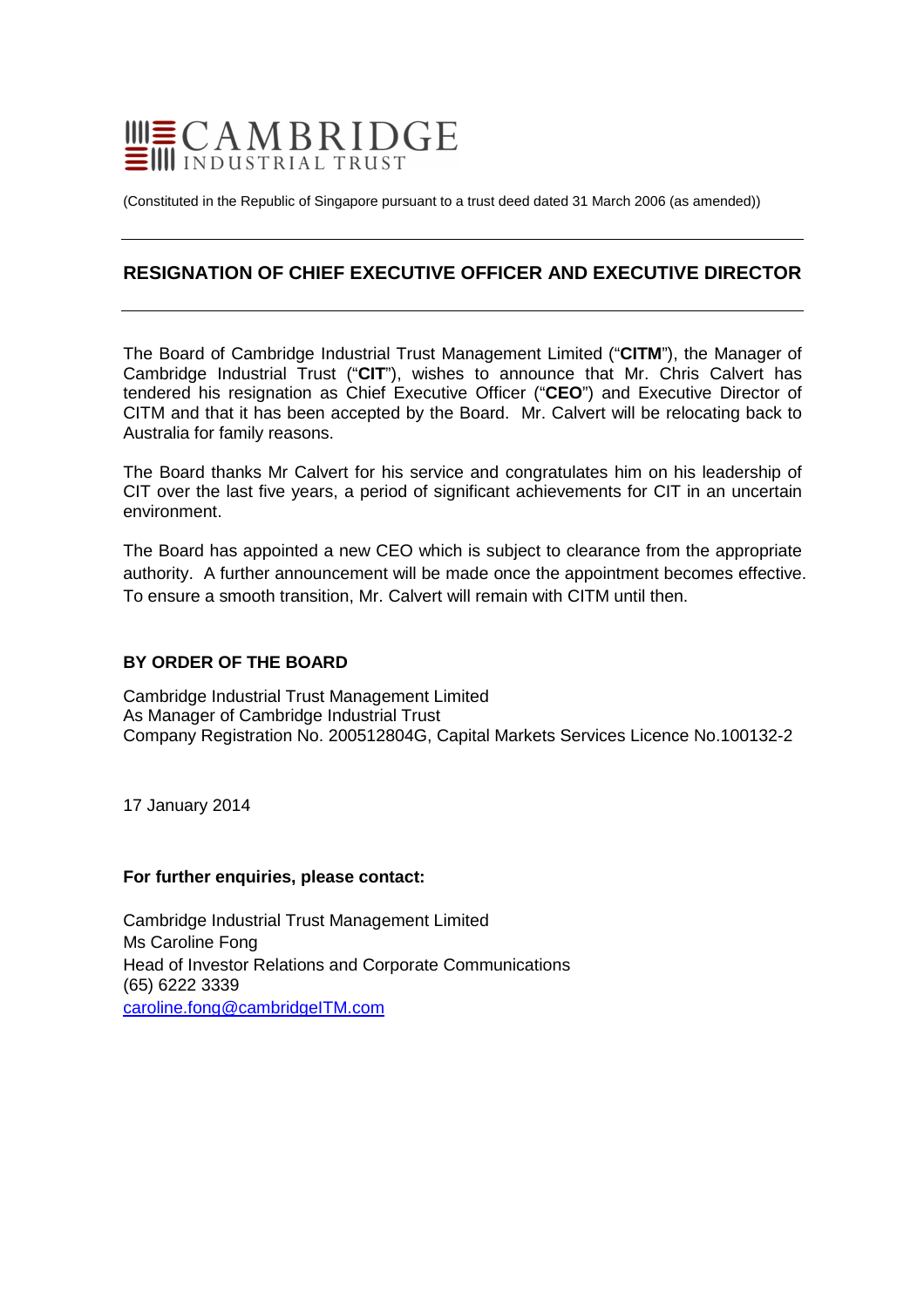

(Constituted in the Republic of Singapore pursuant to a trust deed dated 31 March 2006 (as amended))

# **RESIGNATION OF CHIEF EXECUTIVE OFFICER AND EXECUTIVE DIRECTOR**

The Board of Cambridge Industrial Trust Management Limited ("**CITM**"), the Manager of Cambridge Industrial Trust ("**CIT**"), wishes to announce that Mr. Chris Calvert has tendered his resignation as Chief Executive Officer ("**CEO**") and Executive Director of CITM and that it has been accepted by the Board. Mr. Calvert will be relocating back to Australia for family reasons.

The Board thanks Mr Calvert for his service and congratulates him on his leadership of CIT over the last five years, a period of significant achievements for CIT in an uncertain environment.

The Board has appointed a new CEO which is subject to clearance from the appropriate authority. A further announcement will be made once the appointment becomes effective. To ensure a smooth transition, Mr. Calvert will remain with CITM until then.

## **BY ORDER OF THE BOARD**

Cambridge Industrial Trust Management Limited As Manager of Cambridge Industrial Trust Company Registration No. 200512804G, Capital Markets Services Licence No.100132-2

17 January 2014

#### **For further enquiries, please contact:**

Cambridge Industrial Trust Management Limited Ms Caroline Fong Head of Investor Relations and Corporate Communications (65) 6222 3339 caroline.fong@cambridgeITM.com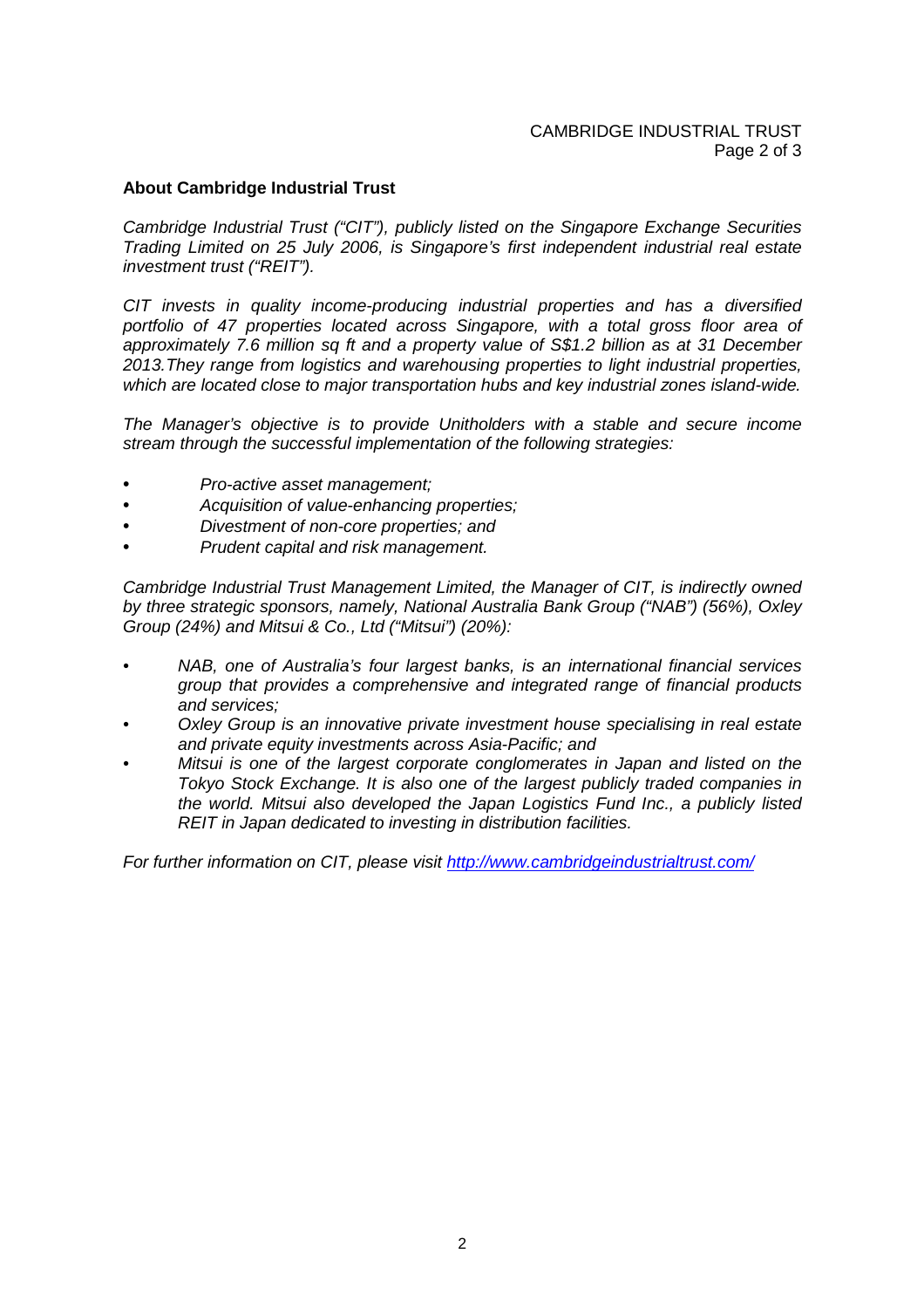## **About Cambridge Industrial Trust**

Cambridge Industrial Trust ("CIT"), publicly listed on the Singapore Exchange Securities Trading Limited on 25 July 2006, is Singapore's first independent industrial real estate investment trust ("REIT").

CIT invests in quality income-producing industrial properties and has a diversified portfolio of 47 properties located across Singapore, with a total gross floor area of approximately 7.6 million sq ft and a property value of S\$1.2 billion as at 31 December 2013.They range from logistics and warehousing properties to light industrial properties, which are located close to major transportation hubs and key industrial zones island-wide.

The Manager's objective is to provide Unitholders with a stable and secure income stream through the successful implementation of the following strategies:

- Pro-active asset management;
- Acquisition of value-enhancing properties;
- Divestment of non-core properties; and
- Prudent capital and risk management.

Cambridge Industrial Trust Management Limited, the Manager of CIT, is indirectly owned by three strategic sponsors, namely, National Australia Bank Group ("NAB") (56%), Oxley Group (24%) and Mitsui & Co., Ltd ("Mitsui") (20%):

- NAB, one of Australia's four largest banks, is an international financial services group that provides a comprehensive and integrated range of financial products and services;
- Oxley Group is an innovative private investment house specialising in real estate and private equity investments across Asia-Pacific; and
- Mitsui is one of the largest corporate conglomerates in Japan and listed on the Tokyo Stock Exchange. It is also one of the largest publicly traded companies in the world. Mitsui also developed the Japan Logistics Fund Inc., a publicly listed REIT in Japan dedicated to investing in distribution facilities.

For further information on CIT, please visit http://www.cambridgeindustrialtrust.com/